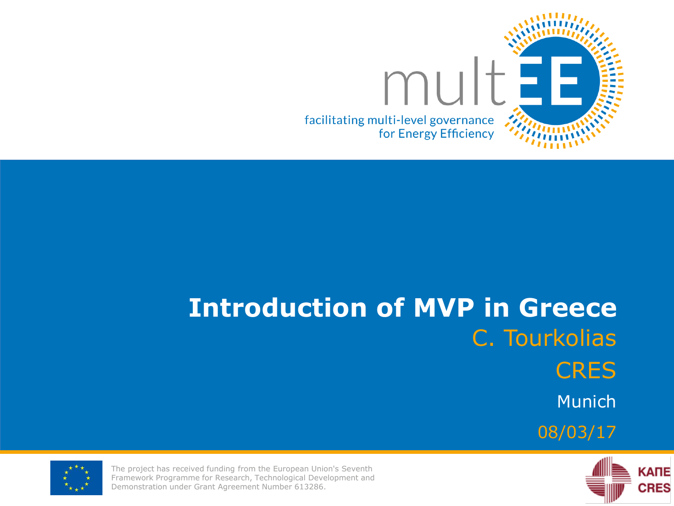

# **Introduction of MVP in Greece** C. Tourkolias **CRES** Munich 08/03/17





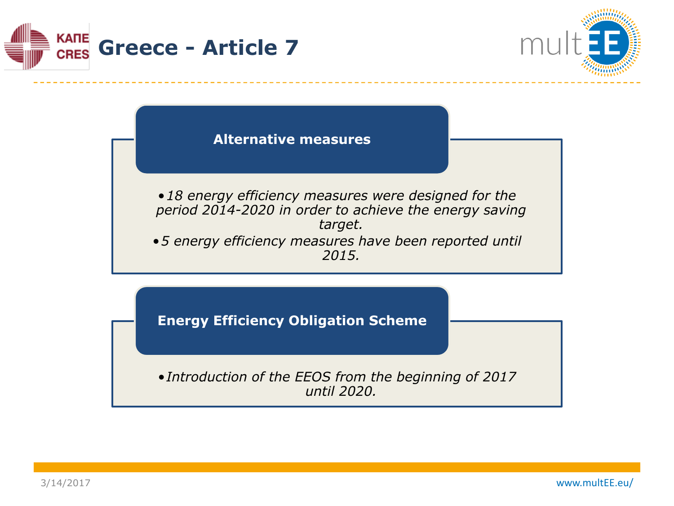



**Alternative measures**

•*18 energy efficiency measures were designed for the period 2014-2020 in order to achieve the energy saving target.*

•*5 energy efficiency measures have been reported until 2015.* 

**Energy Efficiency Obligation Scheme**

•*Introduction of the EEOS from the beginning of 2017 until 2020.*

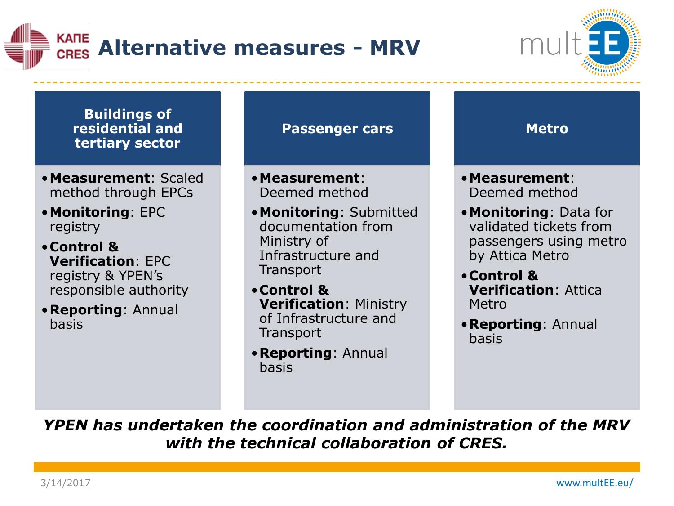



**Buildings of residential and tertiary sector**

- •**Measurement**: Scaled method through EPCs
- •**Monitoring**: EPC registry
- •**Control & Verification**: EPC registry & YPEN's responsible authority
- •**Reporting**: Annual basis

**Passenger cars**

•**Measurement**: Deemed method

- •**Monitoring**: Submitted documentation from Ministry of Infrastructure and **Transport**
- •**Control & Verification**: Ministry of Infrastructure and **Transport**
- •**Reporting**: Annual basis



- •**Measurement**: Deemed method
- •**Monitoring**: Data for validated tickets from passengers using metro by Attica Metro
- •**Control & Verification**: Attica Metro
- •**Reporting**: Annual basis

*YPEN has undertaken the coordination and administration of the MRV with the technical collaboration of CRES.*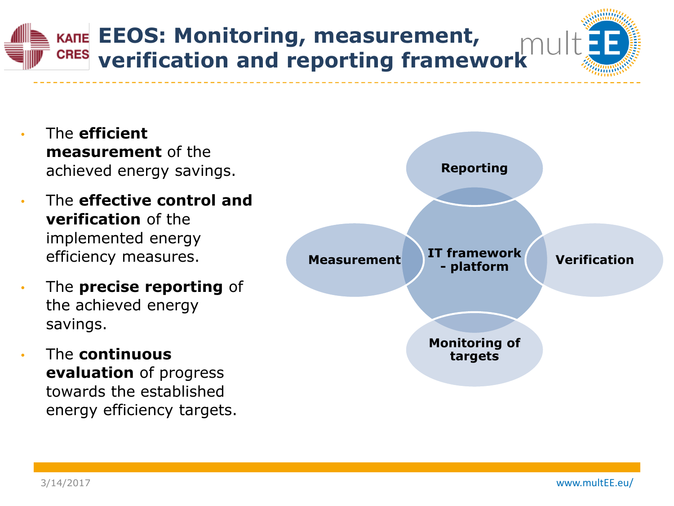## **EEOS: Monitoring, measurement, verification and reporting framework**

- The **efficient measurement** of the achieved energy savings.
- The **effective control and verification** of the implemented energy efficiency measures.
- The **precise reporting** of the achieved energy savings.
- The **continuous evaluation** of progress towards the established energy efficiency targets.

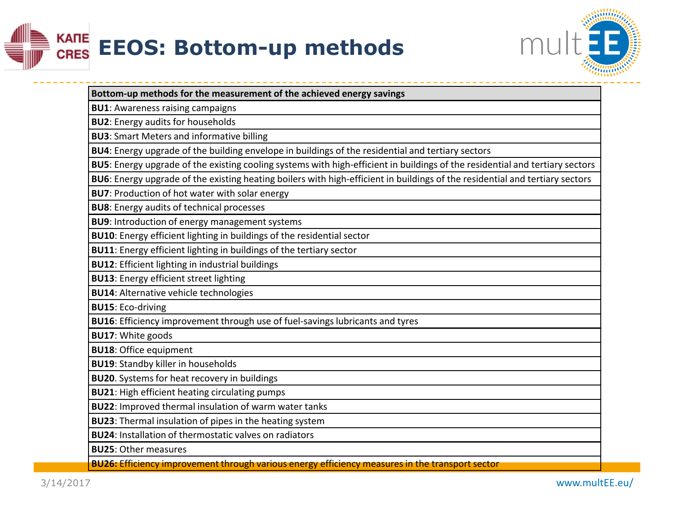



| Bottom-up methods for the measurement of the achieved energy savings                                                         |
|------------------------------------------------------------------------------------------------------------------------------|
| <b>BU1: Awareness raising campaigns</b>                                                                                      |
| <b>BU2:</b> Energy audits for households                                                                                     |
| <b>BU3:</b> Smart Meters and informative billing                                                                             |
| BU4: Energy upgrade of the building envelope in buildings of the residential and tertiary sectors                            |
| BU5: Energy upgrade of the existing cooling systems with high-efficient in buildings of the residential and tertiary sectors |
| BU6: Energy upgrade of the existing heating boilers with high-efficient in buildings of the residential and tertiary sectors |
| <b>BU7: Production of hot water with solar energy</b>                                                                        |
| <b>BU8:</b> Energy audits of technical processes                                                                             |
| <b>BU9:</b> Introduction of energy management systems                                                                        |
| BU10: Energy efficient lighting in buildings of the residential sector                                                       |
| BU11: Energy efficient lighting in buildings of the tertiary sector                                                          |
| <b>BU12:</b> Efficient lighting in industrial buildings                                                                      |
| <b>BU13: Energy efficient street lighting</b>                                                                                |
| <b>BU14: Alternative vehicle technologies</b>                                                                                |
| <b>BU15: Eco-driving</b>                                                                                                     |
| BU16: Efficiency improvement through use of fuel-savings lubricants and tyres                                                |
| <b>BU17: White goods</b>                                                                                                     |
| <b>BU18: Office equipment</b>                                                                                                |
| <b>BU19: Standby killer in households</b>                                                                                    |
| <b>BU20</b> . Systems for heat recovery in buildings                                                                         |
| <b>BU21:</b> High efficient heating circulating pumps                                                                        |
| BU22: Improved thermal insulation of warm water tanks                                                                        |
| BU23: Thermal insulation of pipes in the heating system                                                                      |
| <b>BU24: Installation of thermostatic valves on radiators</b>                                                                |
| <b>BU25: Other measures</b>                                                                                                  |
| <b>BU26:</b> Efficiency improvement through various energy efficiency measures in the transport sector                       |

3/14/2017 www.multEE.eu/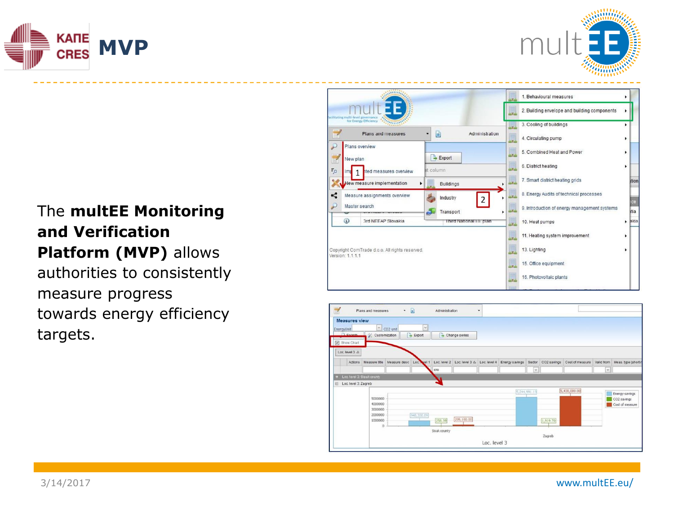



### The **multEE Monitoring and Verification Platform (MVP)** allows

authorities to consistently measure progress towards energy efficiency targets.

|                                                                    |                                                                                                     | acilitating multi-level governan<br>for Energy Efficiency<br><b>CERRISS</b> |                        | 镼  | 3. Cooling of buildings                      | ٠ |       |
|--------------------------------------------------------------------|-----------------------------------------------------------------------------------------------------|-----------------------------------------------------------------------------|------------------------|----|----------------------------------------------|---|-------|
|                                                                    |                                                                                                     | Plans and measures                                                          | D<br>Administration    | 圓  | 4. Circulating pump                          |   |       |
| Plans overview<br>$\rightarrow$ Export<br>New plan                 |                                                                                                     |                                                                             |                        | 圓  | 5. Combined Heat and Power                   |   |       |
| $F_{\odot}$                                                        | Imi                                                                                                 | ted measures overview                                                       | at column              | 圓  | 6. District heating                          | ٠ |       |
|                                                                    | New measure implementation<br><b>Buildings</b>                                                      |                                                                             |                        | ų  | 7. Smart district heating grids              |   | stion |
| K                                                                  | Measure assignments overview<br>Industry<br>$\overline{2}$<br>Master search<br>Transport<br>a.<br>٠ |                                                                             |                        | y  | 8. Energy Audits of technical processes      |   | ce    |
|                                                                    |                                                                                                     |                                                                             |                        | ų  | 9. Introduction of energy management systems |   | ttia  |
|                                                                    | 4                                                                                                   | 3rd NEEAP Slovakia                                                          | Third National EE plan | 5. | 10. Heat pumps                               |   | akia  |
|                                                                    |                                                                                                     |                                                                             |                        | 鳯  | 11. Heating system improvement               |   |       |
| Copyright ComTrade d.o.o. All rights reserved.<br>Version: 1.1.1.1 |                                                                                                     |                                                                             |                        | 覞  | 13. Lighting                                 |   |       |
|                                                                    |                                                                                                     |                                                                             |                        | U. | 15. Office equipment                         |   |       |
|                                                                    |                                                                                                     |                                                                             |                        | 圓  | 16. Photovoltaic plants                      |   |       |

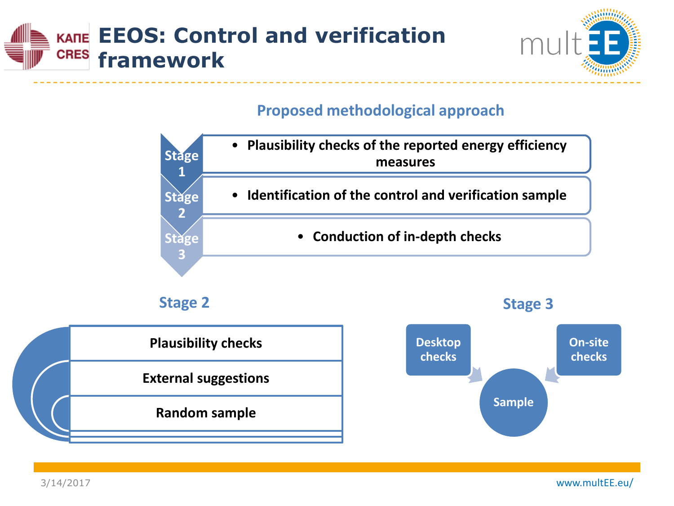#### **EEOS: Control and verification CRES framework**



#### **Proposed methodological approach**









3/14/2017 www.multEE.eu/